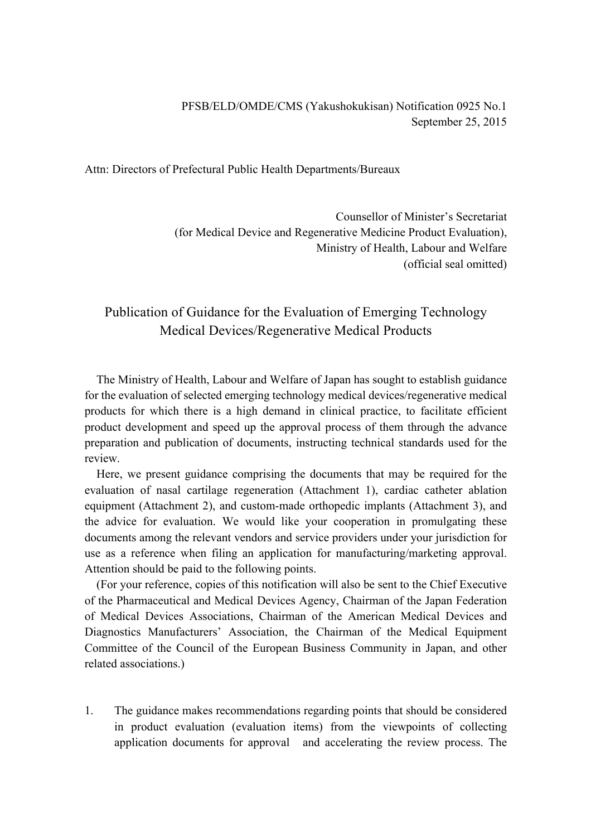Attn: Directors of Prefectural Public Health Departments/Bureaux

Counsellor of Minister's Secretariat (for Medical Device and Regenerative Medicine Product Evaluation), Ministry of Health, Labour and Welfare (official seal omitted)

# Publication of Guidance for the Evaluation of Emerging Technology Medical Devices/Regenerative Medical Products

The Ministry of Health, Labour and Welfare of Japan has sought to establish guidance for the evaluation of selected emerging technology medical devices/regenerative medical products for which there is a high demand in clinical practice, to facilitate efficient product development and speed up the approval process of them through the advance preparation and publication of documents, instructing technical standards used for the review.

Here, we present guidance comprising the documents that may be required for the evaluation of nasal cartilage regeneration (Attachment 1), cardiac catheter ablation equipment (Attachment 2), and custom-made orthopedic implants (Attachment 3), and the advice for evaluation. We would like your cooperation in promulgating these documents among the relevant vendors and service providers under your jurisdiction for use as a reference when filing an application for manufacturing/marketing approval. Attention should be paid to the following points.

(For your reference, copies of this notification will also be sent to the Chief Executive of the Pharmaceutical and Medical Devices Agency, Chairman of the Japan Federation of Medical Devices Associations, Chairman of the American Medical Devices and Diagnostics Manufacturers' Association, the Chairman of the Medical Equipment Committee of the Council of the European Business Community in Japan, and other related associations.)

1. The guidance makes recommendations regarding points that should be considered in product evaluation (evaluation items) from the viewpoints of collecting application documents for approval and accelerating the review process. The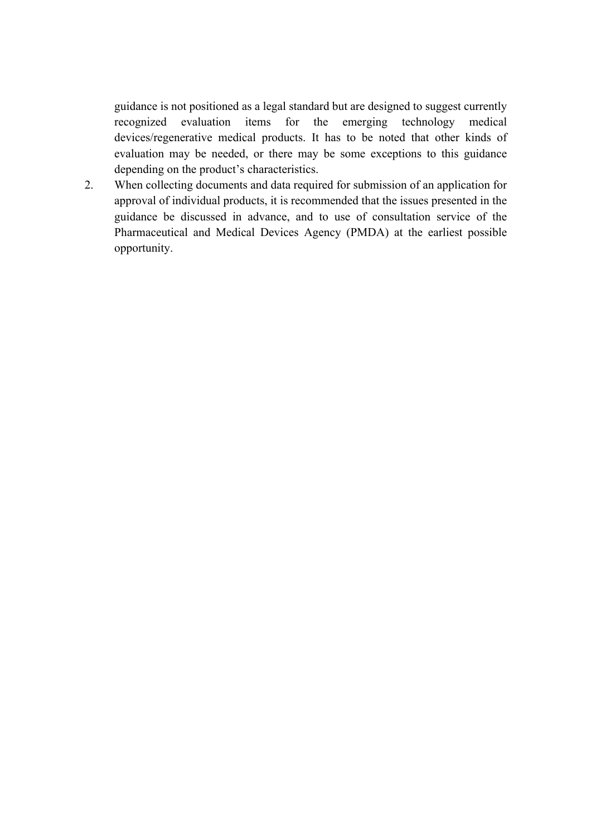guidance is not positioned as a legal standard but are designed to suggest currently recognized evaluation items for the emerging technology medical devices/regenerative medical products. It has to be noted that other kinds of evaluation may be needed, or there may be some exceptions to this guidance depending on the product's characteristics.

2. When collecting documents and data required for submission of an application for approval of individual products, it is recommended that the issues presented in the guidance be discussed in advance, and to use of consultation service of the Pharmaceutical and Medical Devices Agency (PMDA) at the earliest possible opportunity.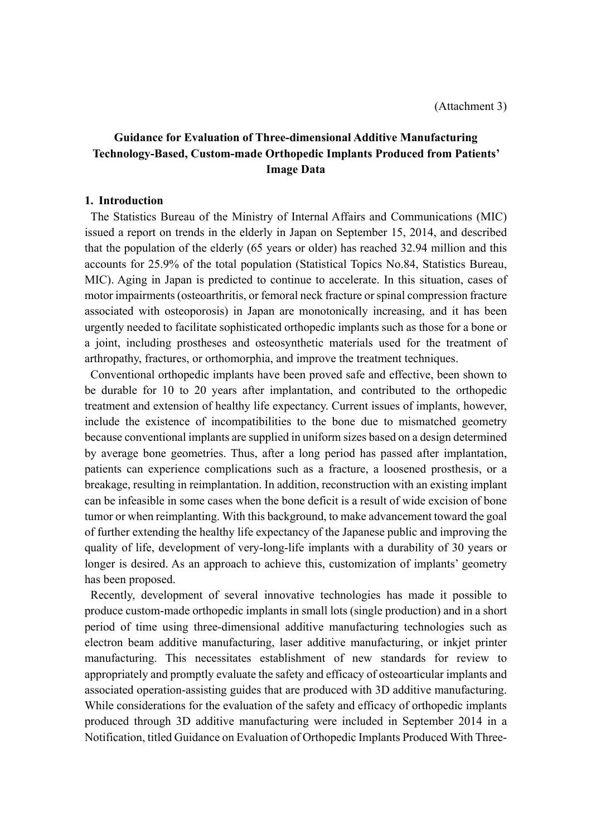# **Guidance for Evaluation of Three-dimensional Additive Manufacturing Technology-Based, Custom-made Orthopedic Implants Produced from Patients' Image Data**

#### **1. Introduction**

The Statistics Bureau of the Ministry of Internal Affairs and Communications (MIC) issued a report on trends in the elderly in Japan on September 15, 2014, and described that the population of the elderly (65 years or older) has reached 32.94 million and this accounts for 25.9% of the total population (Statistical Topics No.84, Statistics Bureau, MIC). Aging in Japan is predicted to continue to accelerate. In this situation, cases of motor impairments (osteoarthritis, or femoral neck fracture or spinal compression fracture associated with osteoporosis) in Japan are monotonically increasing, and it has been urgently needed to facilitate sophisticated orthopedic implants such as those for a bone or a joint, including prostheses and osteosynthetic materials used for the treatment of arthropathy, fractures, or orthomorphia, and improve the treatment techniques.

Conventional orthopedic implants have been proved safe and effective, been shown to be durable for 10 to 20 years after implantation, and contributed to the orthopedic treatment and extension of healthy life expectancy. Current issues of implants, however, include the existence of incompatibilities to the bone due to mismatched geometry because conventional implants are supplied in uniform sizes based on a design determined by average bone geometries. Thus, after a long period has passed after implantation, patients can experience complications such as a fracture, a loosened prosthesis, or a breakage, resulting in reimplantation. In addition, reconstruction with an existing implant can be infeasible in some cases when the bone deficit is a result of wide excision of bone tumor or when reimplanting. With this background, to make advancement toward the goal of further extending the healthy life expectancy of the Japanese public and improving the quality of life, development of very-long-life implants with a durability of 30 years or longer is desired. As an approach to achieve this, customization of implants' geometry has been proposed.

Recently, development of several innovative technologies has made it possible to produce custom-made orthopedic implants in small lots (single production) and in a short period of time using three-dimensional additive manufacturing technologies such as electron beam additive manufacturing, laser additive manufacturing, or inkjet printer manufacturing. This necessitates establishment of new standards for review to appropriately and promptly evaluate the safety and efficacy of osteoarticular implants and associated operation-assisting guides that are produced with 3D additive manufacturing. While considerations for the evaluation of the safety and efficacy of orthopedic implants produced through 3D additive manufacturing were included in September 2014 in a Notification, titled Guidance on Evaluation of Orthopedic Implants Produced With Three-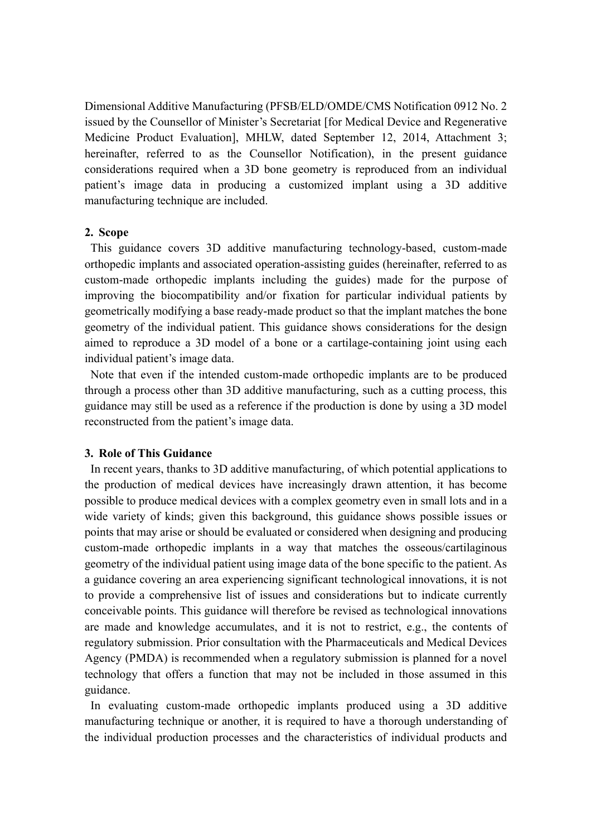Dimensional Additive Manufacturing (PFSB/ELD/OMDE/CMS Notification 0912 No. 2 issued by the Counsellor of Minister's Secretariat [for Medical Device and Regenerative Medicine Product Evaluation], MHLW, dated September 12, 2014, Attachment 3; hereinafter, referred to as the Counsellor Notification), in the present guidance considerations required when a 3D bone geometry is reproduced from an individual patient's image data in producing a customized implant using a 3D additive manufacturing technique are included.

#### **2. Scope**

This guidance covers 3D additive manufacturing technology-based, custom-made orthopedic implants and associated operation-assisting guides (hereinafter, referred to as custom-made orthopedic implants including the guides) made for the purpose of improving the biocompatibility and/or fixation for particular individual patients by geometrically modifying a base ready-made product so that the implant matches the bone geometry of the individual patient. This guidance shows considerations for the design aimed to reproduce a 3D model of a bone or a cartilage-containing joint using each individual patient's image data.

Note that even if the intended custom-made orthopedic implants are to be produced through a process other than 3D additive manufacturing, such as a cutting process, this guidance may still be used as a reference if the production is done by using a 3D model reconstructed from the patient's image data.

### **3. Role of This Guidance**

In recent years, thanks to 3D additive manufacturing, of which potential applications to the production of medical devices have increasingly drawn attention, it has become possible to produce medical devices with a complex geometry even in small lots and in a wide variety of kinds; given this background, this guidance shows possible issues or points that may arise or should be evaluated or considered when designing and producing custom-made orthopedic implants in a way that matches the osseous/cartilaginous geometry of the individual patient using image data of the bone specific to the patient. As a guidance covering an area experiencing significant technological innovations, it is not to provide a comprehensive list of issues and considerations but to indicate currently conceivable points. This guidance will therefore be revised as technological innovations are made and knowledge accumulates, and it is not to restrict, e.g., the contents of regulatory submission. Prior consultation with the Pharmaceuticals and Medical Devices Agency (PMDA) is recommended when a regulatory submission is planned for a novel technology that offers a function that may not be included in those assumed in this guidance.

In evaluating custom-made orthopedic implants produced using a 3D additive manufacturing technique or another, it is required to have a thorough understanding of the individual production processes and the characteristics of individual products and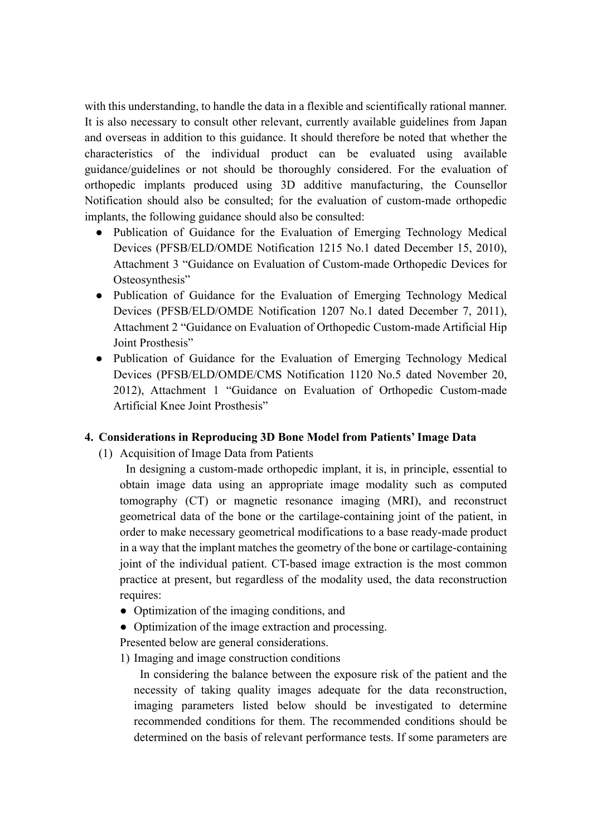with this understanding, to handle the data in a flexible and scientifically rational manner. It is also necessary to consult other relevant, currently available guidelines from Japan and overseas in addition to this guidance. It should therefore be noted that whether the characteristics of the individual product can be evaluated using available guidance/guidelines or not should be thoroughly considered. For the evaluation of orthopedic implants produced using 3D additive manufacturing, the Counsellor Notification should also be consulted; for the evaluation of custom-made orthopedic implants, the following guidance should also be consulted:

- Publication of Guidance for the Evaluation of Emerging Technology Medical Devices (PFSB/ELD/OMDE Notification 1215 No.1 dated December 15, 2010), Attachment 3 "Guidance on Evaluation of Custom-made Orthopedic Devices for Osteosynthesis"
- Publication of Guidance for the Evaluation of Emerging Technology Medical Devices (PFSB/ELD/OMDE Notification 1207 No.1 dated December 7, 2011), Attachment 2 "Guidance on Evaluation of Orthopedic Custom-made Artificial Hip Joint Prosthesis"
- Publication of Guidance for the Evaluation of Emerging Technology Medical Devices (PFSB/ELD/OMDE/CMS Notification 1120 No.5 dated November 20, 2012), Attachment 1 "Guidance on Evaluation of Orthopedic Custom-made Artificial Knee Joint Prosthesis"

## **4. Considerations in Reproducing 3D Bone Model from Patients' Image Data**

(1) Acquisition of Image Data from Patients

In designing a custom-made orthopedic implant, it is, in principle, essential to obtain image data using an appropriate image modality such as computed tomography (CT) or magnetic resonance imaging (MRI), and reconstruct geometrical data of the bone or the cartilage-containing joint of the patient, in order to make necessary geometrical modifications to a base ready-made product in a way that the implant matches the geometry of the bone or cartilage-containing joint of the individual patient. CT-based image extraction is the most common practice at present, but regardless of the modality used, the data reconstruction requires:

- Optimization of the imaging conditions, and
- Optimization of the image extraction and processing.

Presented below are general considerations.

1) Imaging and image construction conditions

In considering the balance between the exposure risk of the patient and the necessity of taking quality images adequate for the data reconstruction, imaging parameters listed below should be investigated to determine recommended conditions for them. The recommended conditions should be determined on the basis of relevant performance tests. If some parameters are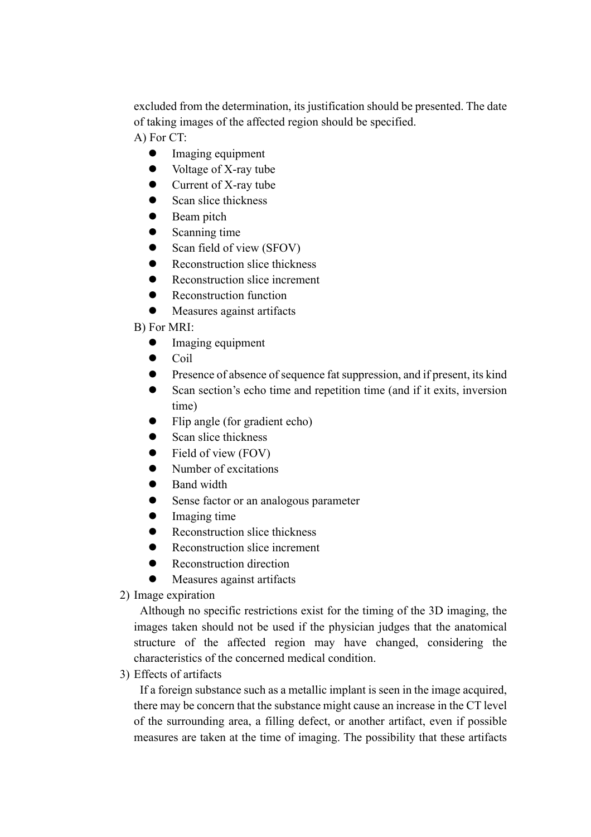excluded from the determination, its justification should be presented. The date of taking images of the affected region should be specified.

A) For CT:

- $\bullet$  Imaging equipment
- $\bullet$  Voltage of X-ray tube
- $\bullet$  Current of X-ray tube
- $\bullet$  Scan slice thickness
- Beam pitch
- $\bullet$  Scanning time
- $\bullet$  Scan field of view (SFOV)
- Reconstruction slice thickness
- Reconstruction slice increment
- Reconstruction function
- $\bullet$  Measures against artifacts
- B) For MRI:
	- $\bullet$  Imaging equipment
	- $\bullet$  Coil
	- **•** Presence of absence of sequence fat suppression, and if present, its kind
	- **•** Scan section's echo time and repetition time (and if it exits, inversion time)
	- $\bullet$  Flip angle (for gradient echo)
	- Scan slice thickness
	- $\bullet$  Field of view (FOV)
	- $\bullet$  Number of excitations
	- Band width
	- **•** Sense factor or an analogous parameter
	- $\bullet$  Imaging time
	- $\bullet$  Reconstruction slice thickness
	- Reconstruction slice increment
	- Reconstruction direction
	- Measures against artifacts
- 2) Image expiration

Although no specific restrictions exist for the timing of the 3D imaging, the images taken should not be used if the physician judges that the anatomical structure of the affected region may have changed, considering the characteristics of the concerned medical condition.

3) Effects of artifacts

If a foreign substance such as a metallic implant is seen in the image acquired, there may be concern that the substance might cause an increase in the CT level of the surrounding area, a filling defect, or another artifact, even if possible measures are taken at the time of imaging. The possibility that these artifacts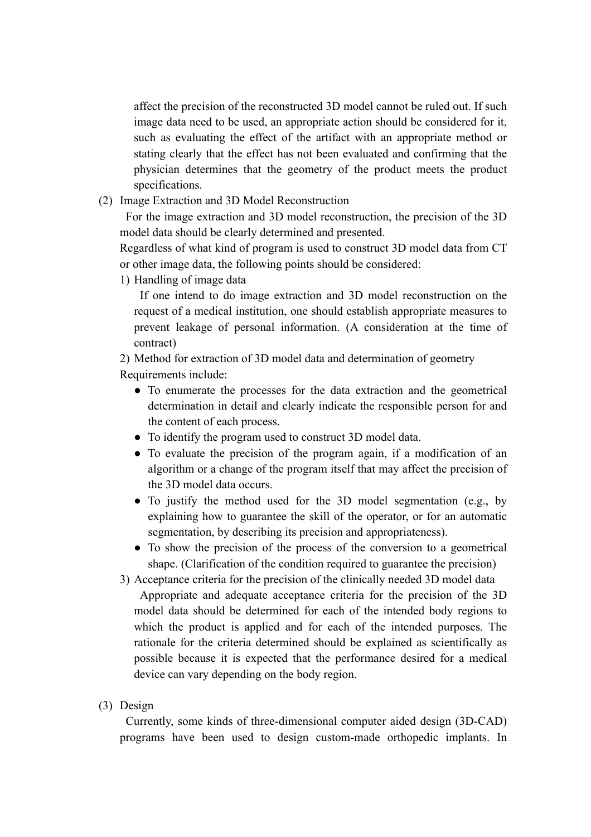affect the precision of the reconstructed 3D model cannot be ruled out. If such image data need to be used, an appropriate action should be considered for it, such as evaluating the effect of the artifact with an appropriate method or stating clearly that the effect has not been evaluated and confirming that the physician determines that the geometry of the product meets the product specifications.

(2) Image Extraction and 3D Model Reconstruction

For the image extraction and 3D model reconstruction, the precision of the 3D model data should be clearly determined and presented.

Regardless of what kind of program is used to construct 3D model data from CT or other image data, the following points should be considered:

1) Handling of image data

If one intend to do image extraction and 3D model reconstruction on the request of a medical institution, one should establish appropriate measures to prevent leakage of personal information. (A consideration at the time of contract)

2) Method for extraction of 3D model data and determination of geometry Requirements include:

- To enumerate the processes for the data extraction and the geometrical determination in detail and clearly indicate the responsible person for and the content of each process.
- To identify the program used to construct 3D model data.
- To evaluate the precision of the program again, if a modification of an algorithm or a change of the program itself that may affect the precision of the 3D model data occurs.
- To justify the method used for the 3D model segmentation (e.g., by explaining how to guarantee the skill of the operator, or for an automatic segmentation, by describing its precision and appropriateness).
- To show the precision of the process of the conversion to a geometrical shape. (Clarification of the condition required to guarantee the precision)

3) Acceptance criteria for the precision of the clinically needed 3D model data

Appropriate and adequate acceptance criteria for the precision of the 3D model data should be determined for each of the intended body regions to which the product is applied and for each of the intended purposes. The rationale for the criteria determined should be explained as scientifically as possible because it is expected that the performance desired for a medical device can vary depending on the body region.

(3) Design

Currently, some kinds of three-dimensional computer aided design (3D-CAD) programs have been used to design custom-made orthopedic implants. In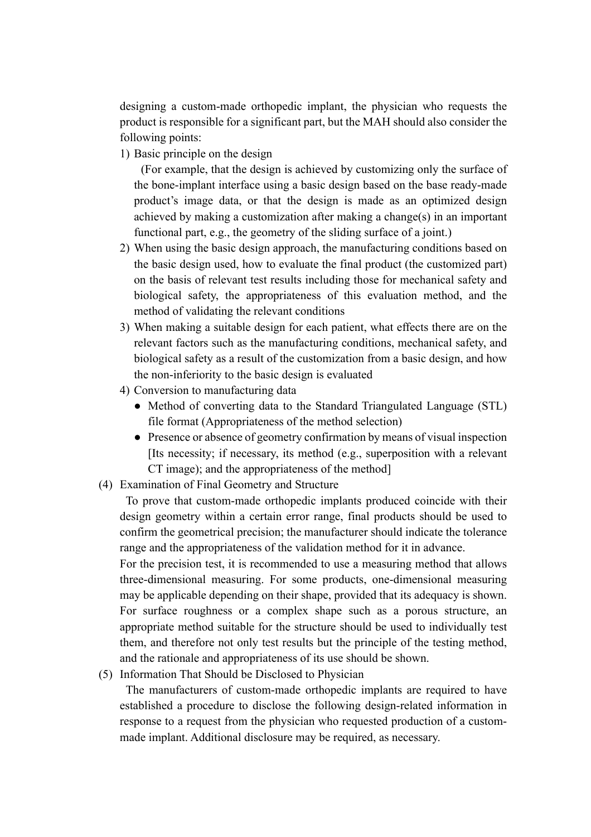designing a custom-made orthopedic implant, the physician who requests the product is responsible for a significant part, but the MAH should also consider the following points:

1) Basic principle on the design

(For example, that the design is achieved by customizing only the surface of the bone-implant interface using a basic design based on the base ready-made product's image data, or that the design is made as an optimized design achieved by making a customization after making a change(s) in an important functional part, e.g., the geometry of the sliding surface of a joint.)

- 2) When using the basic design approach, the manufacturing conditions based on the basic design used, how to evaluate the final product (the customized part) on the basis of relevant test results including those for mechanical safety and biological safety, the appropriateness of this evaluation method, and the method of validating the relevant conditions
- 3) When making a suitable design for each patient, what effects there are on the relevant factors such as the manufacturing conditions, mechanical safety, and biological safety as a result of the customization from a basic design, and how the non-inferiority to the basic design is evaluated
- 4) Conversion to manufacturing data
	- Method of converting data to the Standard Triangulated Language (STL) file format (Appropriateness of the method selection)
	- Presence or absence of geometry confirmation by means of visual inspection [Its necessity; if necessary, its method (e.g., superposition with a relevant CT image); and the appropriateness of the method]
- (4) Examination of Final Geometry and Structure

To prove that custom-made orthopedic implants produced coincide with their design geometry within a certain error range, final products should be used to confirm the geometrical precision; the manufacturer should indicate the tolerance range and the appropriateness of the validation method for it in advance.

For the precision test, it is recommended to use a measuring method that allows three-dimensional measuring. For some products, one-dimensional measuring may be applicable depending on their shape, provided that its adequacy is shown. For surface roughness or a complex shape such as a porous structure, an appropriate method suitable for the structure should be used to individually test them, and therefore not only test results but the principle of the testing method, and the rationale and appropriateness of its use should be shown.

(5) Information That Should be Disclosed to Physician

The manufacturers of custom-made orthopedic implants are required to have established a procedure to disclose the following design-related information in response to a request from the physician who requested production of a custommade implant. Additional disclosure may be required, as necessary.